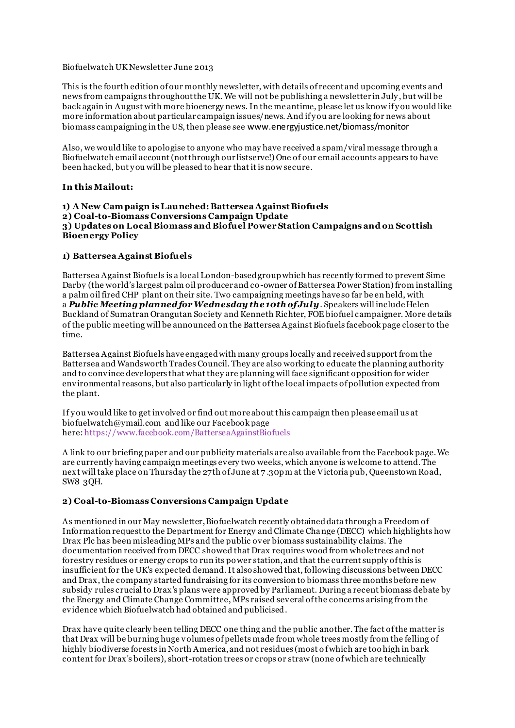### Biofuelwatch UK Newsletter June 2013

This is the fourth edition of our monthly newsletter, with details of recent and upcoming events and news from campaigns throughout the UK. We will not be publishing a newsletter in July , but will be back again in August with more bioenergy news. In the me antime, please let us know if y ou would like more information about particular campaign issues/news. And if y ou are looking for news about biomass campaigning in the US, then please see www.energyjustice.net/biomass/monitor

Also, we would like to apologise to anyone who may have received a spam/viral message through a Biofuelwatch email account (not through our listserve!) One of our email accounts appears to have been hacked, but y ou will be pleased to hear that it is now secure.

## **In this Mailout:**

#### **1) A New Cam paign is Launched: Battersea Against Biofuels 2) Coal-to-Biomass Conversions Campaign Update 3) Updates on Local Biomass and Biofuel Power Station Campaigns and on Scottish Bioenergy Policy**

## **1) Battersea Against Biofuels**

Battersea Against Biofuels is a local London-based group which has recently formed to prevent Sime Darby (the world's largest palm oil producer and co-owner of Battersea Power Station) from installing a palm oil fired CHP plant on their site. Two campaigning meetings have so far be en held, with a *Public Meeting planned for Wednesday the 10th of July*. Speakers will include Helen Buckland of Sumatran Orangutan Society and Kenneth Richter, FOE biofuel campaigner. More details of the public meeting will be announced on the Battersea Against Biofuels facebook page closer to the time.

Battersea Against Biofuels have engaged with many groups locally and received support from the Battersea and Wandsworth Trades Council. They are also working to educate the planning authority and to convince developers that what they are planning will face significant opposition for wider environmental reasons, but also particularly in light of the local impacts of pollution expected from the plant.

If y ou would like to get involved or find out more about this campaign then please email us at biofuelwatch@ymail.com and like our Facebook page here: <https://www.facebook.com/BatterseaAgainstBiofuels>

A link to our briefing paper and our publicity materials are also available from the Facebook page. We are currently having campaign meetings every two weeks, which anyone is welcome to attend. The next will take place on Thursday the 27th of June at 7 .30pm at the Victoria pub, Queenstown Road, SW8 3QH.

# **2) Coal-to-Biomass Conversions Campaign Update**

As mentioned in our May newsletter, Biofuelwatch recently obtained data through a Freedom of Information request to the Department for Energy and Climate Change (DECC) which highlights how Drax Plc has been misleading MPs and the public over biomass sustainability claims. The documentation received from DECC showed that Drax requires wood from whole trees and not forestry residues or energy crops to run its power station, and that the current supply of this is insufficient for the UK's expected demand. It also showed that, following discussions between DECC and Drax, the company started fundraising for its conversion to biomass three months before new subsidy rules crucial to Drax's plans were approved by Parliament. During a recent biomass debate by the Energy and Climate Change Committee, MPs raised several of the concerns arising from the evidence which Biofuelwatch had obtained and publicised.

Drax have quite clearly been telling DECC one thing and the public another. The fact of the matter is that Drax will be burning huge volumes of pellets made from whole trees mostly from the felling of highly biodiverse forests in North America, and not residues (most o f which are too high in bark content for Drax's boilers), short-rotation trees or crops or straw (none of which are technically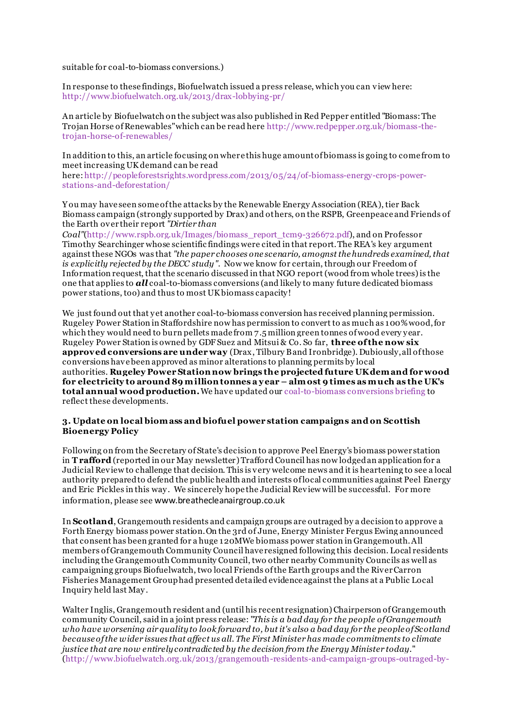suitable for coal-to-biomass conversions.)

In response to these findings, Biofuelwatch issued a press release, which you can view here: <http://www.biofuelwatch.org.uk/2013/drax-lobbying-pr/>

An article by Biofuelwatch on the subject was also published in Red Pepper entitled "Biomass: The Trojan Horse of Renewables" which can be read here [http://www.redpepper.org.uk/biomass-the](http://www.redpepper.org.uk/biomass-the-trojan-horse-of-renewables/)[trojan-horse-of-renewables/](http://www.redpepper.org.uk/biomass-the-trojan-horse-of-renewables/)

In addition to this, an article focusing on where this huge amount of biomass is going to come from to meet increasing UK demand can be read

here: [http://peopleforestsrights.wordpress.com/2013/05/24/of-biomass-energy-crops-power](http://peopleforestsrights.wordpress.com/2013/05/24/of-biomass-energy-crops-power-stations-and-deforestation/)[stations-and-deforestation/](http://peopleforestsrights.wordpress.com/2013/05/24/of-biomass-energy-crops-power-stations-and-deforestation/)

Y ou may have seen some of the attacks by the Renewable Energy Association (REA), tier Back Biomass campaign (strongly supported by Drax) and others, on the RSPB, Greenpeace and Friends of the Earth over their report *"Dirtier than* 

*Coal"*[\(http://www.rspb.org.uk/Images/biomass\\_report\\_tcm9-326672.pdf](http://www.rspb.org.uk/Images/biomass_report_tcm9-326672.pdf)), and on Professor Timothy Searchinger whose scientific findings were cited in that report. The REA's key argument against these NGOs was that *"the paper chooses one scenario, amognst the hundreds examined, that is explicitly rejected by the DECC study"*. Now we know for certain, through our Freedom of Information request, that the scenario discussed in that NGO report (wood from whole trees) is the one that applies to *all* coal-to-biomass conversions (and likely to many future dedicated biomass power stations, too) and thus to most UK biomass capacity!

We just found out that yet another coal-to-biomass conversion has received planning permission. Rugeley Power Station in Staffordshire now has permission to convert to as much as 100% wood, for which they would need to burn pellets made from 7.5 million green tonnes of wood every y ear. Rugeley Power Station is owned by GDF Suez and Mitsui & Co. So far, **three of the now six approved conversions are under way** (Drax, Tilbury B and Ironbridge). Dubiously, all of those conversions have been approved as minor alterations to planning permits by local authorities. **Rugeley Power Station now brings the projected future UK dem and for wood for electricity to around 89 m illion tonnes a y ear – alm ost 9 times as m uch as the UK's total annual wood production.**We have updated our [coal-to-biomass conversions briefing](http://www.biofuelwatch.org.uk/uk-campaign/coal-biomass-conversions/) to reflect these developments.

## **3. Update on local biom ass and biofuel power station campaigns and on Scottish Bioenergy Policy**

Following on from the Secretary of State's decision to approve Peel Energy's biomass power station in **T rafford** (reported in our May newsletter) Trafford Council has now lodged an application for a Judicial Review to challenge that decision. This is very welcome news and it is heartening to see a local authority prepared to defend the public health and interests of local communities against Peel Energy and Eric Pickles in this way . We sincerely hope the Judicial Review will be successful. For more information, please see www.breathecleanairgroup.co.uk

In **Scotland**, Grangemouth residents and campaign groups are outraged by a decision to approve a Forth Energy biomass power station. On the 3rd of June, Energy Minister Fergus Ewing announced that consent has been granted for a huge 120MWe biomass power station in Grangemouth. All members of Grangemouth Community Council have resigned following this decision. Local residents including the Grangemouth Community Council, two other nearby Community Councils as well as campaigning groups Biofuelwatch, two local Friends of the Earth groups and the River Carron Fisheries Management Group had presented detailed evidence against the plans at a Public Local Inquiry held last May .

Walter Inglis, Grangemouth resident and (until his recent resignation) Chairperson of Grangemouth community Council, said in a joint press release: "*This is a bad day for the people of Grangemouth who have worsening air quality to look forward to, but it's also a bad day for the people of Scotland because of the wider issues that affect us all. The First Minister has made commitments to climate justice that are now entirely contradic ted by the decision from the Energy Minister today.*" [\(http://www.biofuelwatch.org.uk/2013/grangemouth-residents-and-campaign-groups-outraged-by-](http://www.biofuelwatch.org.uk/2013/grangemouth-residents-and-campaign-groups-outraged-by-decision-to-approve-forth-energy-biomass-plant/)